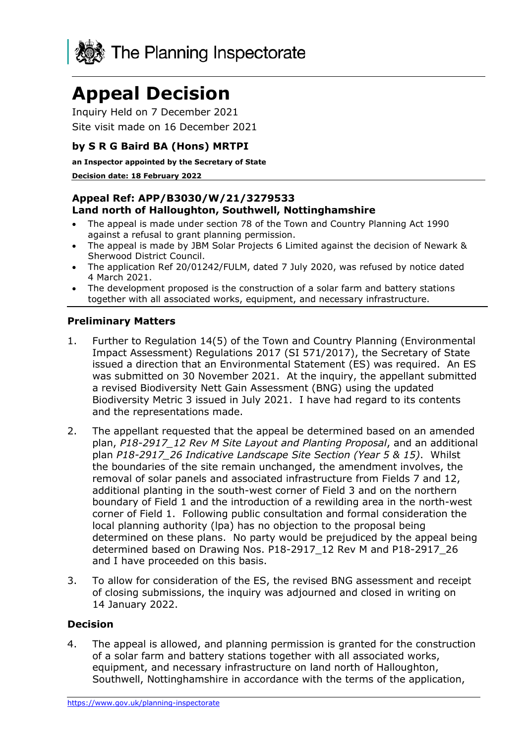

# **Appeal Decision**

Inquiry Held on 7 December 2021 Site visit made on 16 December 2021

# **by S R G Baird BA (Hons) MRTPI**

#### **an Inspector appointed by the Secretary of State**

#### **Decision date: 18 February 2022**

## **Appeal Ref: APP/B3030/W/21/3279533 Land north of Halloughton, Southwell, Nottinghamshire**

- The appeal is made under section 78 of the Town and Country Planning Act 1990 against a refusal to grant planning permission.
- The appeal is made by JBM Solar Projects 6 Limited against the decision of Newark & Sherwood District Council.
- The application Ref 20/01242/FULM, dated 7 July 2020, was refused by notice dated 4 March 2021.
- The development proposed is the construction of a solar farm and battery stations together with all associated works, equipment, and necessary infrastructure.

## **Preliminary Matters**

- 1. Further to Regulation 14(5) of the Town and Country Planning (Environmental Impact Assessment) Regulations 2017 (SI 571/2017), the Secretary of State issued a direction that an Environmental Statement (ES) was required. An ES was submitted on 30 November 2021. At the inquiry, the appellant submitted a revised Biodiversity Nett Gain Assessment (BNG) using the updated Biodiversity Metric 3 issued in July 2021. I have had regard to its contents and the representations made.
- 2. The appellant requested that the appeal be determined based on an amended plan, *P18-2917\_12 Rev M Site Layout and Planting Proposal*, and an additional plan *P18-2917\_26 Indicative Landscape Site Section (Year 5 & 15)*. Whilst the boundaries of the site remain unchanged, the amendment involves, the removal of solar panels and associated infrastructure from Fields 7 and 12, additional planting in the south-west corner of Field 3 and on the northern boundary of Field 1 and the introduction of a rewilding area in the north-west corner of Field 1. Following public consultation and formal consideration the local planning authority (lpa) has no objection to the proposal being determined on these plans. No party would be prejudiced by the appeal being determined based on Drawing Nos. P18-2917\_12 Rev M and P18-2917\_26 and I have proceeded on this basis.
- 3. To allow for consideration of the ES, the revised BNG assessment and receipt of closing submissions, the inquiry was adjourned and closed in writing on 14 January 2022.

#### **Decision**

4. The appeal is allowed, and planning permission is granted for the construction of a solar farm and battery stations together with all associated works, equipment, and necessary infrastructure on land north of Halloughton, Southwell, Nottinghamshire in accordance with the terms of the application,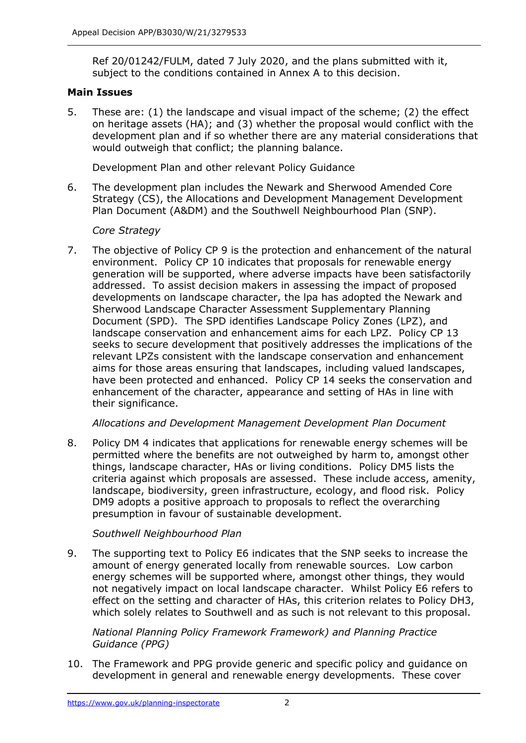Ref 20/01242/FULM, dated 7 July 2020, and the plans submitted with it, subject to the conditions contained in Annex A to this decision.

## **Main Issues**

5. These are: (1) the landscape and visual impact of the scheme; (2) the effect on heritage assets (HA); and (3) whether the proposal would conflict with the development plan and if so whether there are any material considerations that would outweigh that conflict; the planning balance.

Development Plan and other relevant Policy Guidance

6. The development plan includes the Newark and Sherwood Amended Core Strategy (CS), the Allocations and Development Management Development Plan Document (A&DM) and the Southwell Neighbourhood Plan (SNP).

## *Core Strategy*

7. The objective of Policy CP 9 is the protection and enhancement of the natural environment. Policy CP 10 indicates that proposals for renewable energy generation will be supported, where adverse impacts have been satisfactorily addressed. To assist decision makers in assessing the impact of proposed developments on landscape character, the lpa has adopted the Newark and Sherwood Landscape Character Assessment Supplementary Planning Document (SPD). The SPD identifies Landscape Policy Zones (LPZ), and landscape conservation and enhancement aims for each LPZ. Policy CP 13 seeks to secure development that positively addresses the implications of the relevant LPZs consistent with the landscape conservation and enhancement aims for those areas ensuring that landscapes, including valued landscapes, have been protected and enhanced. Policy CP 14 seeks the conservation and enhancement of the character, appearance and setting of HAs in line with their significance.

#### *Allocations and Development Management Development Plan Document*

8. Policy DM 4 indicates that applications for renewable energy schemes will be permitted where the benefits are not outweighed by harm to, amongst other things, landscape character, HAs or living conditions. Policy DM5 lists the criteria against which proposals are assessed. These include access, amenity, landscape, biodiversity, green infrastructure, ecology, and flood risk. Policy DM9 adopts a positive approach to proposals to reflect the overarching presumption in favour of sustainable development.

#### *Southwell Neighbourhood Plan*

9. The supporting text to Policy E6 indicates that the SNP seeks to increase the amount of energy generated locally from renewable sources. Low carbon energy schemes will be supported where, amongst other things, they would not negatively impact on local landscape character. Whilst Policy E6 refers to effect on the setting and character of HAs, this criterion relates to Policy DH3, which solely relates to Southwell and as such is not relevant to this proposal.

## *National Planning Policy Framework Framework) and Planning Practice Guidance (PPG)*

10. The Framework and PPG provide generic and specific policy and guidance on development in general and renewable energy developments. These cover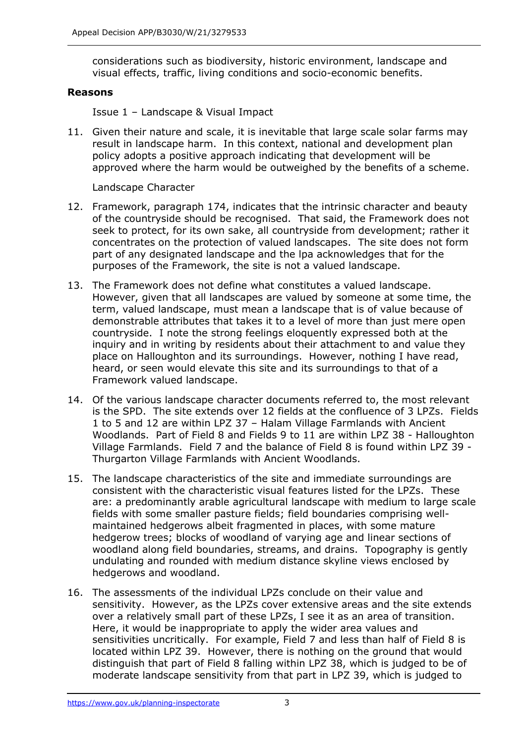considerations such as biodiversity, historic environment, landscape and visual effects, traffic, living conditions and socio-economic benefits.

#### **Reasons**

Issue 1 – Landscape & Visual Impact

11. Given their nature and scale, it is inevitable that large scale solar farms may result in landscape harm. In this context, national and development plan policy adopts a positive approach indicating that development will be approved where the harm would be outweighed by the benefits of a scheme.

Landscape Character

- 12. Framework, paragraph 174, indicates that the intrinsic character and beauty of the countryside should be recognised. That said, the Framework does not seek to protect, for its own sake, all countryside from development; rather it concentrates on the protection of valued landscapes. The site does not form part of any designated landscape and the lpa acknowledges that for the purposes of the Framework, the site is not a valued landscape.
- 13. The Framework does not define what constitutes a valued landscape. However, given that all landscapes are valued by someone at some time, the term, valued landscape, must mean a landscape that is of value because of demonstrable attributes that takes it to a level of more than just mere open countryside. I note the strong feelings eloquently expressed both at the inquiry and in writing by residents about their attachment to and value they place on Halloughton and its surroundings. However, nothing I have read, heard, or seen would elevate this site and its surroundings to that of a Framework valued landscape.
- 14. Of the various landscape character documents referred to, the most relevant is the SPD. The site extends over 12 fields at the confluence of 3 LPZs. Fields 1 to 5 and 12 are within LPZ 37 – Halam Village Farmlands with Ancient Woodlands. Part of Field 8 and Fields 9 to 11 are within LPZ 38 - Halloughton Village Farmlands. Field 7 and the balance of Field 8 is found within LPZ 39 - Thurgarton Village Farmlands with Ancient Woodlands.
- 15. The landscape characteristics of the site and immediate surroundings are consistent with the characteristic visual features listed for the LPZs. These are: a predominantly arable agricultural landscape with medium to large scale fields with some smaller pasture fields; field boundaries comprising wellmaintained hedgerows albeit fragmented in places, with some mature hedgerow trees; blocks of woodland of varying age and linear sections of woodland along field boundaries, streams, and drains. Topography is gently undulating and rounded with medium distance skyline views enclosed by hedgerows and woodland.
- 16. The assessments of the individual LPZs conclude on their value and sensitivity. However, as the LPZs cover extensive areas and the site extends over a relatively small part of these LPZs, I see it as an area of transition. Here, it would be inappropriate to apply the wider area values and sensitivities uncritically. For example, Field 7 and less than half of Field 8 is located within LPZ 39. However, there is nothing on the ground that would distinguish that part of Field 8 falling within LPZ 38, which is judged to be of moderate landscape sensitivity from that part in LPZ 39, which is judged to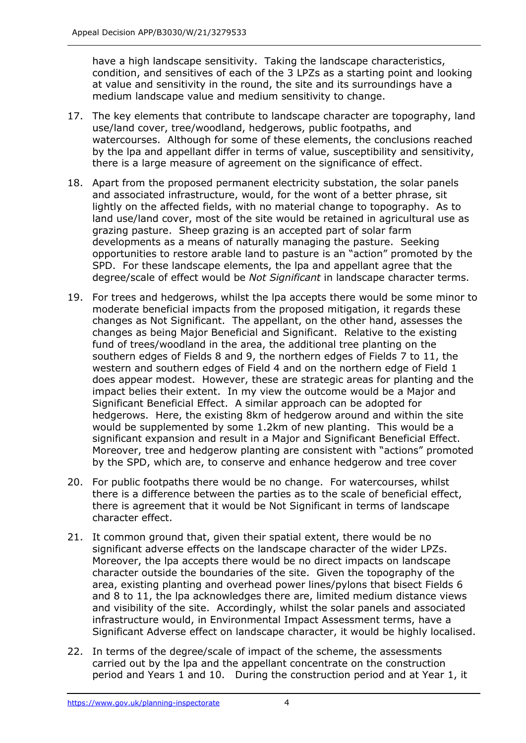have a high landscape sensitivity. Taking the landscape characteristics, condition, and sensitives of each of the 3 LPZs as a starting point and looking at value and sensitivity in the round, the site and its surroundings have a medium landscape value and medium sensitivity to change.

- 17. The key elements that contribute to landscape character are topography, land use/land cover, tree/woodland, hedgerows, public footpaths, and watercourses. Although for some of these elements, the conclusions reached by the lpa and appellant differ in terms of value, susceptibility and sensitivity, there is a large measure of agreement on the significance of effect.
- 18. Apart from the proposed permanent electricity substation, the solar panels and associated infrastructure, would, for the wont of a better phrase, sit lightly on the affected fields, with no material change to topography. As to land use/land cover, most of the site would be retained in agricultural use as grazing pasture. Sheep grazing is an accepted part of solar farm developments as a means of naturally managing the pasture. Seeking opportunities to restore arable land to pasture is an "action" promoted by the SPD. For these landscape elements, the lpa and appellant agree that the degree/scale of effect would be *Not Significant* in landscape character terms.
- 19. For trees and hedgerows, whilst the lpa accepts there would be some minor to moderate beneficial impacts from the proposed mitigation, it regards these changes as Not Significant. The appellant, on the other hand, assesses the changes as being Major Beneficial and Significant. Relative to the existing fund of trees/woodland in the area, the additional tree planting on the southern edges of Fields 8 and 9, the northern edges of Fields 7 to 11, the western and southern edges of Field 4 and on the northern edge of Field 1 does appear modest. However, these are strategic areas for planting and the impact belies their extent. In my view the outcome would be a Major and Significant Beneficial Effect. A similar approach can be adopted for hedgerows. Here, the existing 8km of hedgerow around and within the site would be supplemented by some 1.2km of new planting. This would be a significant expansion and result in a Major and Significant Beneficial Effect. Moreover, tree and hedgerow planting are consistent with "actions" promoted by the SPD, which are, to conserve and enhance hedgerow and tree cover
- 20. For public footpaths there would be no change. For watercourses, whilst there is a difference between the parties as to the scale of beneficial effect, there is agreement that it would be Not Significant in terms of landscape character effect.
- 21. It common ground that, given their spatial extent, there would be no significant adverse effects on the landscape character of the wider LPZs. Moreover, the lpa accepts there would be no direct impacts on landscape character outside the boundaries of the site. Given the topography of the area, existing planting and overhead power lines/pylons that bisect Fields 6 and 8 to 11, the lpa acknowledges there are, limited medium distance views and visibility of the site. Accordingly, whilst the solar panels and associated infrastructure would, in Environmental Impact Assessment terms, have a Significant Adverse effect on landscape character, it would be highly localised.
- 22. In terms of the degree/scale of impact of the scheme, the assessments carried out by the lpa and the appellant concentrate on the construction period and Years 1 and 10. During the construction period and at Year 1, it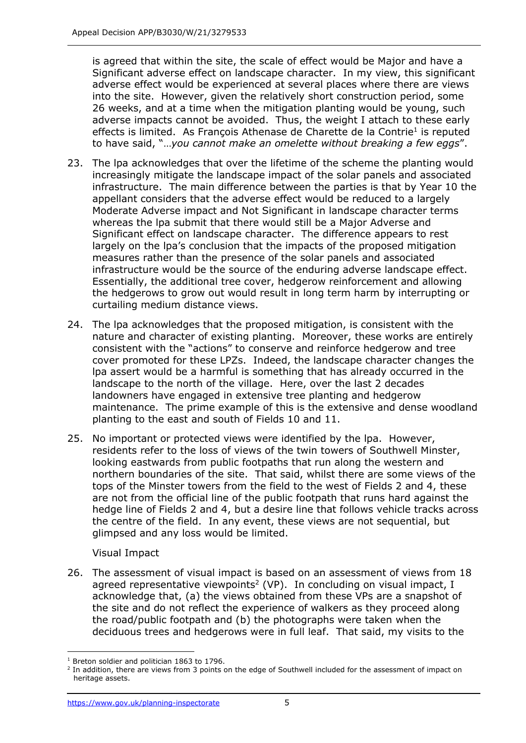is agreed that within the site, the scale of effect would be Major and have a Significant adverse effect on landscape character. In my view, this significant adverse effect would be experienced at several places where there are views into the site. However, given the relatively short construction period, some 26 weeks, and at a time when the mitigation planting would be young, such adverse impacts cannot be avoided. Thus, the weight I attach to these early effects is limited. As François Athenase de Charette de la Contrie<sup>1</sup> is reputed to have said, "…*you cannot make an omelette without breaking a few eggs*".

- 23. The lpa acknowledges that over the lifetime of the scheme the planting would increasingly mitigate the landscape impact of the solar panels and associated infrastructure. The main difference between the parties is that by Year 10 the appellant considers that the adverse effect would be reduced to a largely Moderate Adverse impact and Not Significant in landscape character terms whereas the lpa submit that there would still be a Major Adverse and Significant effect on landscape character. The difference appears to rest largely on the lpa's conclusion that the impacts of the proposed mitigation measures rather than the presence of the solar panels and associated infrastructure would be the source of the enduring adverse landscape effect. Essentially, the additional tree cover, hedgerow reinforcement and allowing the hedgerows to grow out would result in long term harm by interrupting or curtailing medium distance views.
- 24. The lpa acknowledges that the proposed mitigation, is consistent with the nature and character of existing planting. Moreover, these works are entirely consistent with the "actions" to conserve and reinforce hedgerow and tree cover promoted for these LPZs. Indeed, the landscape character changes the lpa assert would be a harmful is something that has already occurred in the landscape to the north of the village. Here, over the last 2 decades landowners have engaged in extensive tree planting and hedgerow maintenance. The prime example of this is the extensive and dense woodland planting to the east and south of Fields 10 and 11.
- 25. No important or protected views were identified by the lpa. However, residents refer to the loss of views of the twin towers of Southwell Minster, looking eastwards from public footpaths that run along the western and northern boundaries of the site. That said, whilst there are some views of the tops of the Minster towers from the field to the west of Fields 2 and 4, these are not from the official line of the public footpath that runs hard against the hedge line of Fields 2 and 4, but a desire line that follows vehicle tracks across the centre of the field. In any event, these views are not sequential, but glimpsed and any loss would be limited.

#### Visual Impact

26. The assessment of visual impact is based on an assessment of views from 18 agreed representative viewpoints<sup>2</sup> (VP). In concluding on visual impact, I acknowledge that, (a) the views obtained from these VPs are a snapshot of the site and do not reflect the experience of walkers as they proceed along the road/public footpath and (b) the photographs were taken when the deciduous trees and hedgerows were in full leaf. That said, my visits to the

<sup>&</sup>lt;sup>1</sup> Breton soldier and politician 1863 to 1796.

 $^2$  In addition, there are views from 3 points on the edge of Southwell included for the assessment of impact on heritage assets.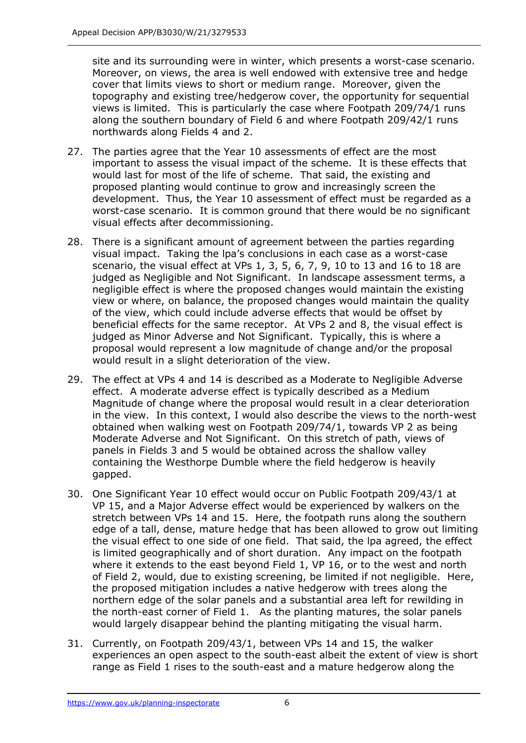site and its surrounding were in winter, which presents a worst-case scenario. Moreover, on views, the area is well endowed with extensive tree and hedge cover that limits views to short or medium range. Moreover, given the topography and existing tree/hedgerow cover, the opportunity for sequential views is limited. This is particularly the case where Footpath 209/74/1 runs along the southern boundary of Field 6 and where Footpath 209/42/1 runs northwards along Fields 4 and 2.

- 27. The parties agree that the Year 10 assessments of effect are the most important to assess the visual impact of the scheme. It is these effects that would last for most of the life of scheme. That said, the existing and proposed planting would continue to grow and increasingly screen the development. Thus, the Year 10 assessment of effect must be regarded as a worst-case scenario. It is common ground that there would be no significant visual effects after decommissioning.
- 28. There is a significant amount of agreement between the parties regarding visual impact. Taking the lpa's conclusions in each case as a worst-case scenario, the visual effect at VPs 1, 3, 5, 6, 7, 9, 10 to 13 and 16 to 18 are judged as Negligible and Not Significant. In landscape assessment terms, a negligible effect is where the proposed changes would maintain the existing view or where, on balance, the proposed changes would maintain the quality of the view, which could include adverse effects that would be offset by beneficial effects for the same receptor. At VPs 2 and 8, the visual effect is judged as Minor Adverse and Not Significant. Typically, this is where a proposal would represent a low magnitude of change and/or the proposal would result in a slight deterioration of the view.
- 29. The effect at VPs 4 and 14 is described as a Moderate to Negligible Adverse effect. A moderate adverse effect is typically described as a Medium Magnitude of change where the proposal would result in a clear deterioration in the view. In this context, I would also describe the views to the north-west obtained when walking west on Footpath 209/74/1, towards VP 2 as being Moderate Adverse and Not Significant. On this stretch of path, views of panels in Fields 3 and 5 would be obtained across the shallow valley containing the Westhorpe Dumble where the field hedgerow is heavily gapped.
- 30. One Significant Year 10 effect would occur on Public Footpath 209/43/1 at VP 15, and a Major Adverse effect would be experienced by walkers on the stretch between VPs 14 and 15. Here, the footpath runs along the southern edge of a tall, dense, mature hedge that has been allowed to grow out limiting the visual effect to one side of one field. That said, the lpa agreed, the effect is limited geographically and of short duration. Any impact on the footpath where it extends to the east beyond Field 1, VP 16, or to the west and north of Field 2, would, due to existing screening, be limited if not negligible. Here, the proposed mitigation includes a native hedgerow with trees along the northern edge of the solar panels and a substantial area left for rewilding in the north-east corner of Field 1. As the planting matures, the solar panels would largely disappear behind the planting mitigating the visual harm.
- 31. Currently, on Footpath 209/43/1, between VPs 14 and 15, the walker experiences an open aspect to the south-east albeit the extent of view is short range as Field 1 rises to the south-east and a mature hedgerow along the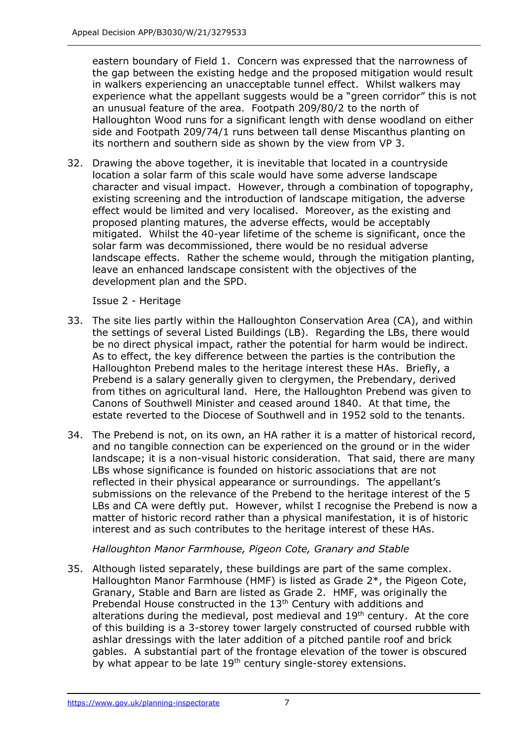eastern boundary of Field 1. Concern was expressed that the narrowness of the gap between the existing hedge and the proposed mitigation would result in walkers experiencing an unacceptable tunnel effect. Whilst walkers may experience what the appellant suggests would be a "green corridor" this is not an unusual feature of the area. Footpath 209/80/2 to the north of Halloughton Wood runs for a significant length with dense woodland on either side and Footpath 209/74/1 runs between tall dense Miscanthus planting on its northern and southern side as shown by the view from VP 3.

32. Drawing the above together, it is inevitable that located in a countryside location a solar farm of this scale would have some adverse landscape character and visual impact. However, through a combination of topography, existing screening and the introduction of landscape mitigation, the adverse effect would be limited and very localised. Moreover, as the existing and proposed planting matures, the adverse effects, would be acceptably mitigated. Whilst the 40-year lifetime of the scheme is significant, once the solar farm was decommissioned, there would be no residual adverse landscape effects. Rather the scheme would, through the mitigation planting, leave an enhanced landscape consistent with the objectives of the development plan and the SPD.

Issue 2 - Heritage

- 33. The site lies partly within the Halloughton Conservation Area (CA), and within the settings of several Listed Buildings (LB). Regarding the LBs, there would be no direct physical impact, rather the potential for harm would be indirect. As to effect, the key difference between the parties is the contribution the Halloughton Prebend males to the heritage interest these HAs. Briefly, a Prebend is a salary generally given to clergymen, the Prebendary, derived from tithes on agricultural land. Here, the Halloughton Prebend was given to Canons of Southwell Minister and ceased around 1840. At that time, the estate reverted to the Diocese of Southwell and in 1952 sold to the tenants.
- 34. The Prebend is not, on its own, an HA rather it is a matter of historical record, and no tangible connection can be experienced on the ground or in the wider landscape; it is a non-visual historic consideration. That said, there are many LBs whose significance is founded on historic associations that are not reflected in their physical appearance or surroundings. The appellant's submissions on the relevance of the Prebend to the heritage interest of the 5 LBs and CA were deftly put. However, whilst I recognise the Prebend is now a matter of historic record rather than a physical manifestation, it is of historic interest and as such contributes to the heritage interest of these HAs.

*Halloughton Manor Farmhouse, Pigeon Cote, Granary and Stable*

35. Although listed separately, these buildings are part of the same complex. Halloughton Manor Farmhouse (HMF) is listed as Grade 2\*, the Pigeon Cote, Granary, Stable and Barn are listed as Grade 2. HMF, was originally the Prebendal House constructed in the 13<sup>th</sup> Century with additions and alterations during the medieval, post medieval and  $19<sup>th</sup>$  century. At the core of this building is a 3-storey tower largely constructed of coursed rubble with ashlar dressings with the later addition of a pitched pantile roof and brick gables. A substantial part of the frontage elevation of the tower is obscured by what appear to be late 19<sup>th</sup> century single-storey extensions.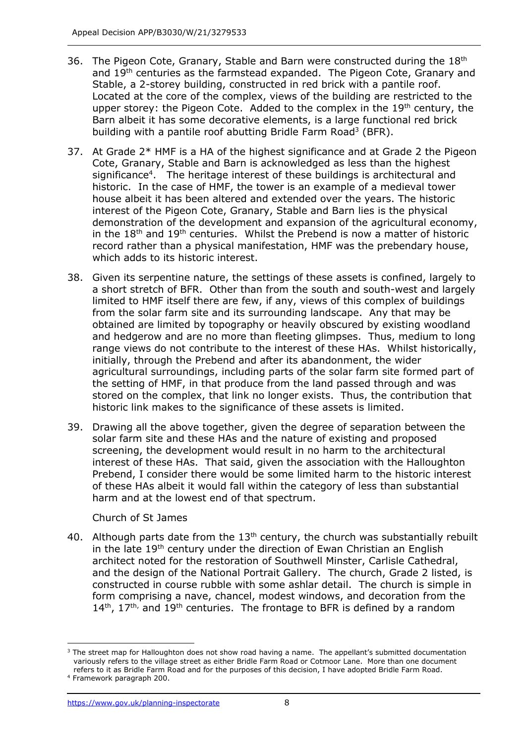- 36. The Pigeon Cote, Granary, Stable and Barn were constructed during the 18<sup>th</sup> and 19<sup>th</sup> centuries as the farmstead expanded. The Pigeon Cote, Granary and Stable, a 2-storey building, constructed in red brick with a pantile roof. Located at the core of the complex, views of the building are restricted to the upper storey: the Pigeon Cote. Added to the complex in the 19<sup>th</sup> century, the Barn albeit it has some decorative elements, is a large functional red brick building with a pantile roof abutting Bridle Farm Road<sup>3</sup> (BFR).
- 37. At Grade 2\* HMF is a HA of the highest significance and at Grade 2 the Pigeon Cote, Granary, Stable and Barn is acknowledged as less than the highest significance<sup>4</sup>. The heritage interest of these buildings is architectural and historic. In the case of HMF, the tower is an example of a medieval tower house albeit it has been altered and extended over the years. The historic interest of the Pigeon Cote, Granary, Stable and Barn lies is the physical demonstration of the development and expansion of the agricultural economy, in the 18<sup>th</sup> and 19<sup>th</sup> centuries. Whilst the Prebend is now a matter of historic record rather than a physical manifestation, HMF was the prebendary house, which adds to its historic interest.
- 38. Given its serpentine nature, the settings of these assets is confined, largely to a short stretch of BFR. Other than from the south and south-west and largely limited to HMF itself there are few, if any, views of this complex of buildings from the solar farm site and its surrounding landscape. Any that may be obtained are limited by topography or heavily obscured by existing woodland and hedgerow and are no more than fleeting glimpses. Thus, medium to long range views do not contribute to the interest of these HAs. Whilst historically, initially, through the Prebend and after its abandonment, the wider agricultural surroundings, including parts of the solar farm site formed part of the setting of HMF, in that produce from the land passed through and was stored on the complex, that link no longer exists. Thus, the contribution that historic link makes to the significance of these assets is limited.
- 39. Drawing all the above together, given the degree of separation between the solar farm site and these HAs and the nature of existing and proposed screening, the development would result in no harm to the architectural interest of these HAs. That said, given the association with the Halloughton Prebend, I consider there would be some limited harm to the historic interest of these HAs albeit it would fall within the category of less than substantial harm and at the lowest end of that spectrum.

#### Church of St James

40. Although parts date from the  $13<sup>th</sup>$  century, the church was substantially rebuilt in the late 19<sup>th</sup> century under the direction of Ewan Christian an English architect noted for the restoration of Southwell Minster, Carlisle Cathedral, and the design of the National Portrait Gallery. The church, Grade 2 listed, is constructed in course rubble with some ashlar detail. The church is simple in form comprising a nave, chancel, modest windows, and decoration from the  $14<sup>th</sup>$ ,  $17<sup>th</sup>$  and  $19<sup>th</sup>$  centuries. The frontage to BFR is defined by a random

<sup>&</sup>lt;sup>3</sup> The street map for Halloughton does not show road having a name. The appellant's submitted documentation variously refers to the village street as either Bridle Farm Road or Cotmoor Lane. More than one document refers to it as Bridle Farm Road and for the purposes of this decision, I have adopted Bridle Farm Road. <sup>4</sup> Framework paragraph 200.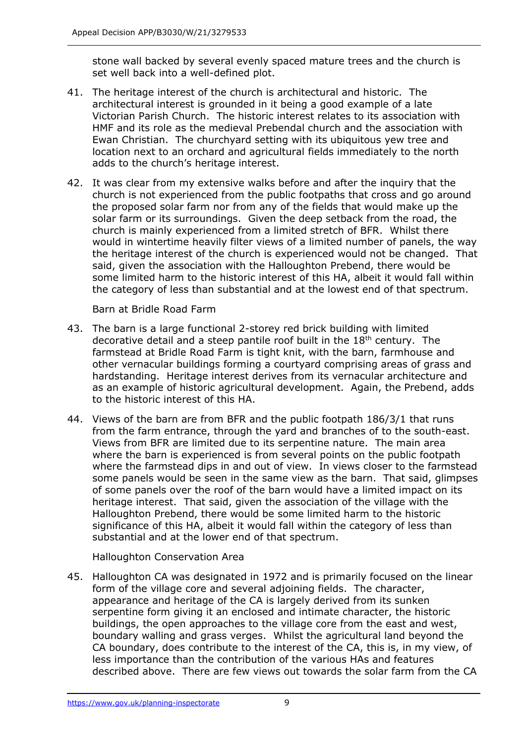stone wall backed by several evenly spaced mature trees and the church is set well back into a well-defined plot.

- 41. The heritage interest of the church is architectural and historic. The architectural interest is grounded in it being a good example of a late Victorian Parish Church. The historic interest relates to its association with HMF and its role as the medieval Prebendal church and the association with Ewan Christian. The churchyard setting with its ubiquitous yew tree and location next to an orchard and agricultural fields immediately to the north adds to the church's heritage interest.
- 42. It was clear from my extensive walks before and after the inquiry that the church is not experienced from the public footpaths that cross and go around the proposed solar farm nor from any of the fields that would make up the solar farm or its surroundings. Given the deep setback from the road, the church is mainly experienced from a limited stretch of BFR. Whilst there would in wintertime heavily filter views of a limited number of panels, the way the heritage interest of the church is experienced would not be changed. That said, given the association with the Halloughton Prebend, there would be some limited harm to the historic interest of this HA, albeit it would fall within the category of less than substantial and at the lowest end of that spectrum.

Barn at Bridle Road Farm

- 43. The barn is a large functional 2-storey red brick building with limited decorative detail and a steep pantile roof built in the 18th century. The farmstead at Bridle Road Farm is tight knit, with the barn, farmhouse and other vernacular buildings forming a courtyard comprising areas of grass and hardstanding. Heritage interest derives from its vernacular architecture and as an example of historic agricultural development. Again, the Prebend, adds to the historic interest of this HA.
- 44. Views of the barn are from BFR and the public footpath 186/3/1 that runs from the farm entrance, through the yard and branches of to the south-east. Views from BFR are limited due to its serpentine nature. The main area where the barn is experienced is from several points on the public footpath where the farmstead dips in and out of view. In views closer to the farmstead some panels would be seen in the same view as the barn. That said, glimpses of some panels over the roof of the barn would have a limited impact on its heritage interest. That said, given the association of the village with the Halloughton Prebend, there would be some limited harm to the historic significance of this HA, albeit it would fall within the category of less than substantial and at the lower end of that spectrum.

Halloughton Conservation Area

45. Halloughton CA was designated in 1972 and is primarily focused on the linear form of the village core and several adjoining fields. The character, appearance and heritage of the CA is largely derived from its sunken serpentine form giving it an enclosed and intimate character, the historic buildings, the open approaches to the village core from the east and west, boundary walling and grass verges. Whilst the agricultural land beyond the CA boundary, does contribute to the interest of the CA, this is, in my view, of less importance than the contribution of the various HAs and features described above. There are few views out towards the solar farm from the CA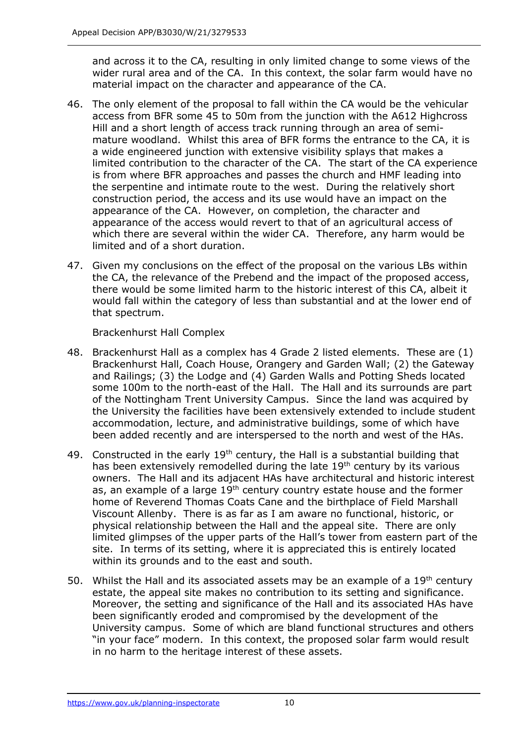and across it to the CA, resulting in only limited change to some views of the wider rural area and of the CA. In this context, the solar farm would have no material impact on the character and appearance of the CA.

- 46. The only element of the proposal to fall within the CA would be the vehicular access from BFR some 45 to 50m from the junction with the A612 Highcross Hill and a short length of access track running through an area of semimature woodland. Whilst this area of BFR forms the entrance to the CA, it is a wide engineered junction with extensive visibility splays that makes a limited contribution to the character of the CA. The start of the CA experience is from where BFR approaches and passes the church and HMF leading into the serpentine and intimate route to the west. During the relatively short construction period, the access and its use would have an impact on the appearance of the CA. However, on completion, the character and appearance of the access would revert to that of an agricultural access of which there are several within the wider CA. Therefore, any harm would be limited and of a short duration.
- 47. Given my conclusions on the effect of the proposal on the various LBs within the CA, the relevance of the Prebend and the impact of the proposed access, there would be some limited harm to the historic interest of this CA, albeit it would fall within the category of less than substantial and at the lower end of that spectrum.

Brackenhurst Hall Complex

- 48. Brackenhurst Hall as a complex has 4 Grade 2 listed elements. These are (1) Brackenhurst Hall, Coach House, Orangery and Garden Wall; (2) the Gateway and Railings; (3) the Lodge and (4) Garden Walls and Potting Sheds located some 100m to the north-east of the Hall. The Hall and its surrounds are part of the Nottingham Trent University Campus. Since the land was acquired by the University the facilities have been extensively extended to include student accommodation, lecture, and administrative buildings, some of which have been added recently and are interspersed to the north and west of the HAs.
- 49. Constructed in the early  $19<sup>th</sup>$  century, the Hall is a substantial building that has been extensively remodelled during the late 19<sup>th</sup> century by its various owners. The Hall and its adjacent HAs have architectural and historic interest as, an example of a large 19<sup>th</sup> century country estate house and the former home of Reverend Thomas Coats Cane and the birthplace of Field Marshall Viscount Allenby. There is as far as I am aware no functional, historic, or physical relationship between the Hall and the appeal site. There are only limited glimpses of the upper parts of the Hall's tower from eastern part of the site. In terms of its setting, where it is appreciated this is entirely located within its grounds and to the east and south.
- 50. Whilst the Hall and its associated assets may be an example of a  $19<sup>th</sup>$  century estate, the appeal site makes no contribution to its setting and significance. Moreover, the setting and significance of the Hall and its associated HAs have been significantly eroded and compromised by the development of the University campus. Some of which are bland functional structures and others "in your face" modern. In this context, the proposed solar farm would result in no harm to the heritage interest of these assets.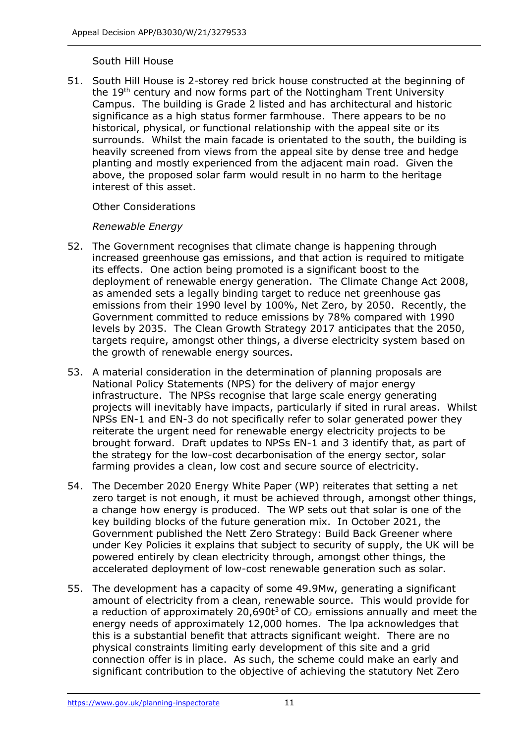#### South Hill House

51. South Hill House is 2-storey red brick house constructed at the beginning of the 19<sup>th</sup> century and now forms part of the Nottingham Trent University Campus. The building is Grade 2 listed and has architectural and historic significance as a high status former farmhouse. There appears to be no historical, physical, or functional relationship with the appeal site or its surrounds. Whilst the main facade is orientated to the south, the building is heavily screened from views from the appeal site by dense tree and hedge planting and mostly experienced from the adjacent main road. Given the above, the proposed solar farm would result in no harm to the heritage interest of this asset.

## Other Considerations

## *Renewable Energy*

- 52. The Government recognises that climate change is happening through increased greenhouse gas emissions, and that action is required to mitigate its effects. One action being promoted is a significant boost to the deployment of renewable energy generation. The Climate Change Act 2008, as amended sets a legally binding target to reduce net greenhouse gas emissions from their 1990 level by 100%, Net Zero, by 2050. Recently, the Government committed to reduce emissions by 78% compared with 1990 levels by 2035. The Clean Growth Strategy 2017 anticipates that the 2050, targets require, amongst other things, a diverse electricity system based on the growth of renewable energy sources.
- 53. A material consideration in the determination of planning proposals are National Policy Statements (NPS) for the delivery of major energy infrastructure. The NPSs recognise that large scale energy generating projects will inevitably have impacts, particularly if sited in rural areas. Whilst NPSs EN-1 and EN-3 do not specifically refer to solar generated power they reiterate the urgent need for renewable energy electricity projects to be brought forward. Draft updates to NPSs EN-1 and 3 identify that, as part of the strategy for the low-cost decarbonisation of the energy sector, solar farming provides a clean, low cost and secure source of electricity.
- 54. The December 2020 Energy White Paper (WP) reiterates that setting a net zero target is not enough, it must be achieved through, amongst other things, a change how energy is produced. The WP sets out that solar is one of the key building blocks of the future generation mix. In October 2021, the Government published the Nett Zero Strategy: Build Back Greener where under Key Policies it explains that subject to security of supply, the UK will be powered entirely by clean electricity through, amongst other things, the accelerated deployment of low-cost renewable generation such as solar.
- 55. The development has a capacity of some 49.9Mw, generating a significant amount of electricity from a clean, renewable source. This would provide for a reduction of approximately 20,690t<sup>3</sup> of  $CO<sub>2</sub>$  emissions annually and meet the energy needs of approximately 12,000 homes. The lpa acknowledges that this is a substantial benefit that attracts significant weight. There are no physical constraints limiting early development of this site and a grid connection offer is in place. As such, the scheme could make an early and significant contribution to the objective of achieving the statutory Net Zero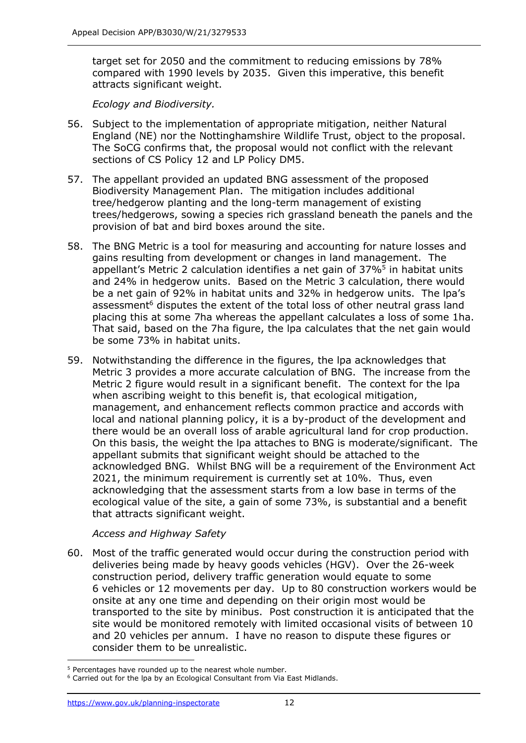target set for 2050 and the commitment to reducing emissions by 78% compared with 1990 levels by 2035. Given this imperative, this benefit attracts significant weight.

*Ecology and Biodiversity.*

- 56. Subject to the implementation of appropriate mitigation, neither Natural England (NE) nor the Nottinghamshire Wildlife Trust, object to the proposal. The SoCG confirms that, the proposal would not conflict with the relevant sections of CS Policy 12 and LP Policy DM5.
- 57. The appellant provided an updated BNG assessment of the proposed Biodiversity Management Plan. The mitigation includes additional tree/hedgerow planting and the long-term management of existing trees/hedgerows, sowing a species rich grassland beneath the panels and the provision of bat and bird boxes around the site.
- 58. The BNG Metric is a tool for measuring and accounting for nature losses and gains resulting from development or changes in land management. The appellant's Metric 2 calculation identifies a net gain of  $37\%^5$  in habitat units and 24% in hedgerow units. Based on the Metric 3 calculation, there would be a net gain of 92% in habitat units and 32% in hedgerow units. The lpa's assessment<sup>6</sup> disputes the extent of the total loss of other neutral grass land placing this at some 7ha whereas the appellant calculates a loss of some 1ha. That said, based on the 7ha figure, the lpa calculates that the net gain would be some 73% in habitat units.
- 59. Notwithstanding the difference in the figures, the lpa acknowledges that Metric 3 provides a more accurate calculation of BNG. The increase from the Metric 2 figure would result in a significant benefit. The context for the lpa when ascribing weight to this benefit is, that ecological mitigation, management, and enhancement reflects common practice and accords with local and national planning policy, it is a by-product of the development and there would be an overall loss of arable agricultural land for crop production. On this basis, the weight the lpa attaches to BNG is moderate/significant. The appellant submits that significant weight should be attached to the acknowledged BNG. Whilst BNG will be a requirement of the Environment Act 2021, the minimum requirement is currently set at 10%. Thus, even acknowledging that the assessment starts from a low base in terms of the ecological value of the site, a gain of some 73%, is substantial and a benefit that attracts significant weight.

*Access and Highway Safety*

60. Most of the traffic generated would occur during the construction period with deliveries being made by heavy goods vehicles (HGV). Over the 26-week construction period, delivery traffic generation would equate to some 6 vehicles or 12 movements per day. Up to 80 construction workers would be onsite at any one time and depending on their origin most would be transported to the site by minibus. Post construction it is anticipated that the site would be monitored remotely with limited occasional visits of between 10 and 20 vehicles per annum. I have no reason to dispute these figures or consider them to be unrealistic.

<sup>&</sup>lt;sup>5</sup> Percentages have rounded up to the nearest whole number.

<sup>&</sup>lt;sup>6</sup> Carried out for the lpa by an Ecological Consultant from Via East Midlands.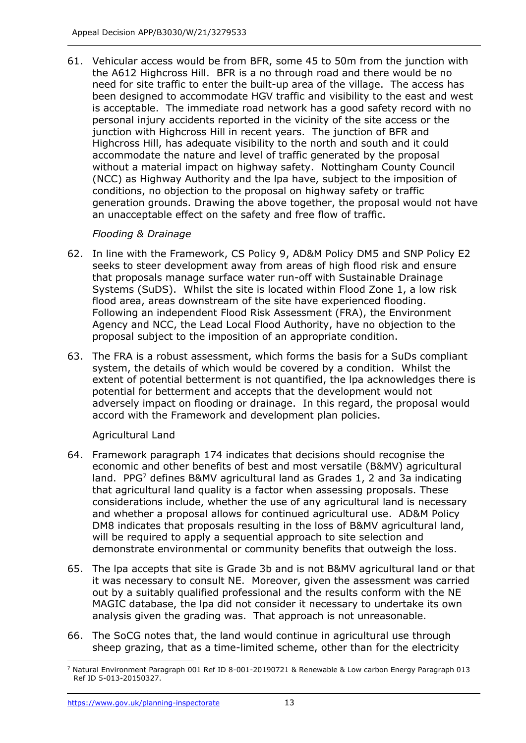61. Vehicular access would be from BFR, some 45 to 50m from the junction with the A612 Highcross Hill. BFR is a no through road and there would be no need for site traffic to enter the built-up area of the village. The access has been designed to accommodate HGV traffic and visibility to the east and west is acceptable. The immediate road network has a good safety record with no personal injury accidents reported in the vicinity of the site access or the junction with Highcross Hill in recent years. The junction of BFR and Highcross Hill, has adequate visibility to the north and south and it could accommodate the nature and level of traffic generated by the proposal without a material impact on highway safety. Nottingham County Council (NCC) as Highway Authority and the lpa have, subject to the imposition of conditions, no objection to the proposal on highway safety or traffic generation grounds. Drawing the above together, the proposal would not have an unacceptable effect on the safety and free flow of traffic.

# *Flooding & Drainage*

- 62. In line with the Framework, CS Policy 9, AD&M Policy DM5 and SNP Policy E2 seeks to steer development away from areas of high flood risk and ensure that proposals manage surface water run-off with Sustainable Drainage Systems (SuDS). Whilst the site is located within Flood Zone 1, a low risk flood area, areas downstream of the site have experienced flooding. Following an independent Flood Risk Assessment (FRA), the Environment Agency and NCC, the Lead Local Flood Authority, have no objection to the proposal subject to the imposition of an appropriate condition.
- 63. The FRA is a robust assessment, which forms the basis for a SuDs compliant system, the details of which would be covered by a condition. Whilst the extent of potential betterment is not quantified, the lpa acknowledges there is potential for betterment and accepts that the development would not adversely impact on flooding or drainage. In this regard, the proposal would accord with the Framework and development plan policies.

# Agricultural Land

- 64. Framework paragraph 174 indicates that decisions should recognise the economic and other benefits of best and most versatile (B&MV) agricultural land. PPG<sup>7</sup> defines B&MV agricultural land as Grades 1, 2 and 3a indicating that agricultural land quality is a factor when assessing proposals. These considerations include, whether the use of any agricultural land is necessary and whether a proposal allows for continued agricultural use. AD&M Policy DM8 indicates that proposals resulting in the loss of B&MV agricultural land, will be required to apply a sequential approach to site selection and demonstrate environmental or community benefits that outweigh the loss.
- 65. The lpa accepts that site is Grade 3b and is not B&MV agricultural land or that it was necessary to consult NE. Moreover, given the assessment was carried out by a suitably qualified professional and the results conform with the NE MAGIC database, the lpa did not consider it necessary to undertake its own analysis given the grading was. That approach is not unreasonable.
- 66. The SoCG notes that, the land would continue in agricultural use through sheep grazing, that as a time-limited scheme, other than for the electricity

<sup>7</sup> Natural Environment Paragraph 001 Ref ID 8-001-20190721 & Renewable & Low carbon Energy Paragraph 013 Ref ID 5-013-20150327.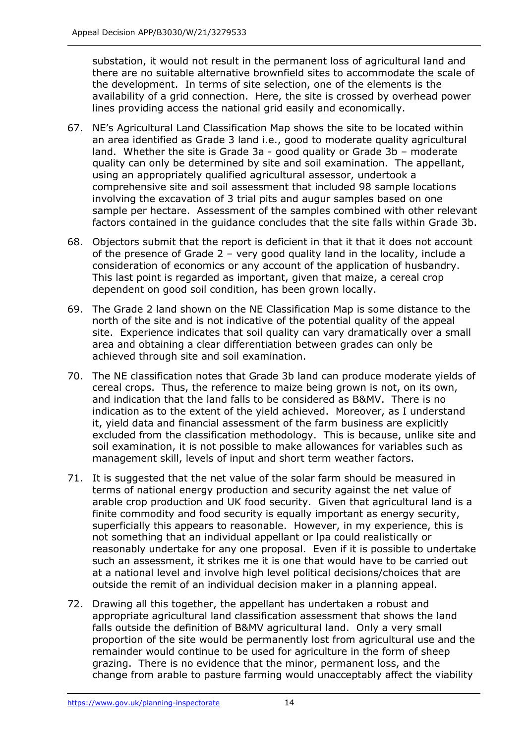substation, it would not result in the permanent loss of agricultural land and there are no suitable alternative brownfield sites to accommodate the scale of the development. In terms of site selection, one of the elements is the availability of a grid connection. Here, the site is crossed by overhead power lines providing access the national grid easily and economically.

- 67. NE's Agricultural Land Classification Map shows the site to be located within an area identified as Grade 3 land i.e., good to moderate quality agricultural land. Whether the site is Grade 3a - good quality or Grade 3b – moderate quality can only be determined by site and soil examination. The appellant, using an appropriately qualified agricultural assessor, undertook a comprehensive site and soil assessment that included 98 sample locations involving the excavation of 3 trial pits and augur samples based on one sample per hectare. Assessment of the samples combined with other relevant factors contained in the guidance concludes that the site falls within Grade 3b.
- 68. Objectors submit that the report is deficient in that it that it does not account of the presence of Grade 2 – very good quality land in the locality, include a consideration of economics or any account of the application of husbandry. This last point is regarded as important, given that maize, a cereal crop dependent on good soil condition, has been grown locally.
- 69. The Grade 2 land shown on the NE Classification Map is some distance to the north of the site and is not indicative of the potential quality of the appeal site. Experience indicates that soil quality can vary dramatically over a small area and obtaining a clear differentiation between grades can only be achieved through site and soil examination.
- 70. The NE classification notes that Grade 3b land can produce moderate yields of cereal crops. Thus, the reference to maize being grown is not, on its own, and indication that the land falls to be considered as B&MV. There is no indication as to the extent of the yield achieved. Moreover, as I understand it, yield data and financial assessment of the farm business are explicitly excluded from the classification methodology. This is because, unlike site and soil examination, it is not possible to make allowances for variables such as management skill, levels of input and short term weather factors.
- 71. It is suggested that the net value of the solar farm should be measured in terms of national energy production and security against the net value of arable crop production and UK food security. Given that agricultural land is a finite commodity and food security is equally important as energy security, superficially this appears to reasonable. However, in my experience, this is not something that an individual appellant or lpa could realistically or reasonably undertake for any one proposal. Even if it is possible to undertake such an assessment, it strikes me it is one that would have to be carried out at a national level and involve high level political decisions/choices that are outside the remit of an individual decision maker in a planning appeal.
- 72. Drawing all this together, the appellant has undertaken a robust and appropriate agricultural land classification assessment that shows the land falls outside the definition of B&MV agricultural land. Only a very small proportion of the site would be permanently lost from agricultural use and the remainder would continue to be used for agriculture in the form of sheep grazing. There is no evidence that the minor, permanent loss, and the change from arable to pasture farming would unacceptably affect the viability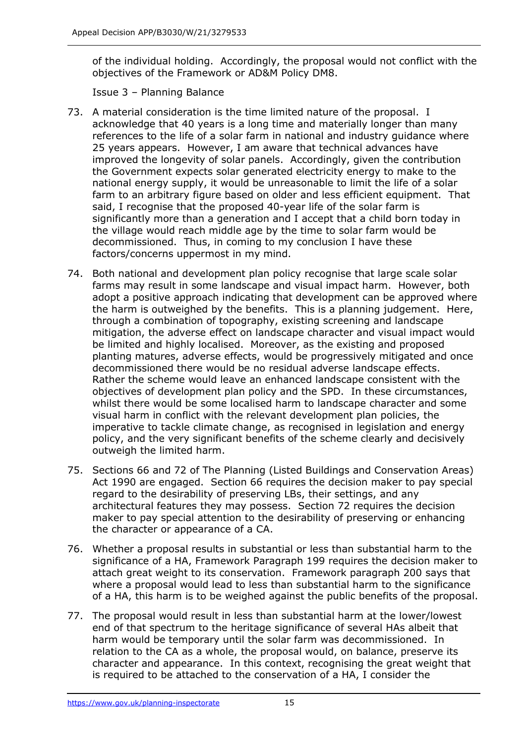of the individual holding. Accordingly, the proposal would not conflict with the objectives of the Framework or AD&M Policy DM8.

Issue 3 – Planning Balance

- 73. A material consideration is the time limited nature of the proposal. I acknowledge that 40 years is a long time and materially longer than many references to the life of a solar farm in national and industry guidance where 25 years appears. However, I am aware that technical advances have improved the longevity of solar panels. Accordingly, given the contribution the Government expects solar generated electricity energy to make to the national energy supply, it would be unreasonable to limit the life of a solar farm to an arbitrary figure based on older and less efficient equipment. That said, I recognise that the proposed 40-year life of the solar farm is significantly more than a generation and I accept that a child born today in the village would reach middle age by the time to solar farm would be decommissioned. Thus, in coming to my conclusion I have these factors/concerns uppermost in my mind.
- 74. Both national and development plan policy recognise that large scale solar farms may result in some landscape and visual impact harm. However, both adopt a positive approach indicating that development can be approved where the harm is outweighed by the benefits. This is a planning judgement. Here, through a combination of topography, existing screening and landscape mitigation, the adverse effect on landscape character and visual impact would be limited and highly localised. Moreover, as the existing and proposed planting matures, adverse effects, would be progressively mitigated and once decommissioned there would be no residual adverse landscape effects. Rather the scheme would leave an enhanced landscape consistent with the objectives of development plan policy and the SPD. In these circumstances, whilst there would be some localised harm to landscape character and some visual harm in conflict with the relevant development plan policies, the imperative to tackle climate change, as recognised in legislation and energy policy, and the very significant benefits of the scheme clearly and decisively outweigh the limited harm.
- 75. Sections 66 and 72 of The Planning (Listed Buildings and Conservation Areas) Act 1990 are engaged. Section 66 requires the decision maker to pay special regard to the desirability of preserving LBs, their settings, and any architectural features they may possess. Section 72 requires the decision maker to pay special attention to the desirability of preserving or enhancing the character or appearance of a CA.
- 76. Whether a proposal results in substantial or less than substantial harm to the significance of a HA, Framework Paragraph 199 requires the decision maker to attach great weight to its conservation. Framework paragraph 200 says that where a proposal would lead to less than substantial harm to the significance of a HA, this harm is to be weighed against the public benefits of the proposal.
- 77. The proposal would result in less than substantial harm at the lower/lowest end of that spectrum to the heritage significance of several HAs albeit that harm would be temporary until the solar farm was decommissioned. In relation to the CA as a whole, the proposal would, on balance, preserve its character and appearance. In this context, recognising the great weight that is required to be attached to the conservation of a HA, I consider the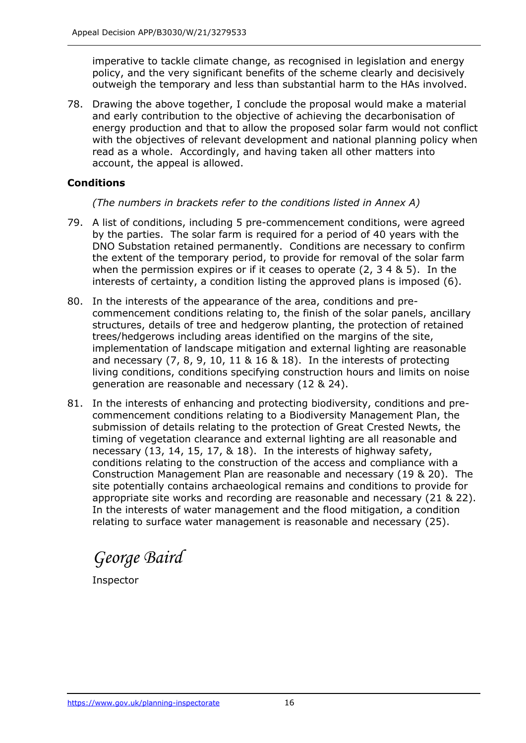imperative to tackle climate change, as recognised in legislation and energy policy, and the very significant benefits of the scheme clearly and decisively outweigh the temporary and less than substantial harm to the HAs involved.

78. Drawing the above together, I conclude the proposal would make a material and early contribution to the objective of achieving the decarbonisation of energy production and that to allow the proposed solar farm would not conflict with the objectives of relevant development and national planning policy when read as a whole. Accordingly, and having taken all other matters into account, the appeal is allowed.

## **Conditions**

*(The numbers in brackets refer to the conditions listed in Annex A)*

- 79. A list of conditions, including 5 pre-commencement conditions, were agreed by the parties. The solar farm is required for a period of 40 years with the DNO Substation retained permanently. Conditions are necessary to confirm the extent of the temporary period, to provide for removal of the solar farm when the permission expires or if it ceases to operate (2, 3 4 & 5). In the interests of certainty, a condition listing the approved plans is imposed (6).
- 80. In the interests of the appearance of the area, conditions and precommencement conditions relating to, the finish of the solar panels, ancillary structures, details of tree and hedgerow planting, the protection of retained trees/hedgerows including areas identified on the margins of the site, implementation of landscape mitigation and external lighting are reasonable and necessary  $(7, 8, 9, 10, 11 \& 16 \& 18)$ . In the interests of protecting living conditions, conditions specifying construction hours and limits on noise generation are reasonable and necessary (12 & 24).
- 81. In the interests of enhancing and protecting biodiversity, conditions and precommencement conditions relating to a Biodiversity Management Plan, the submission of details relating to the protection of Great Crested Newts, the timing of vegetation clearance and external lighting are all reasonable and necessary (13, 14, 15, 17, & 18). In the interests of highway safety, conditions relating to the construction of the access and compliance with a Construction Management Plan are reasonable and necessary (19 & 20). The site potentially contains archaeological remains and conditions to provide for appropriate site works and recording are reasonable and necessary (21 & 22). In the interests of water management and the flood mitigation, a condition relating to surface water management is reasonable and necessary (25).

*George Baird*

Inspector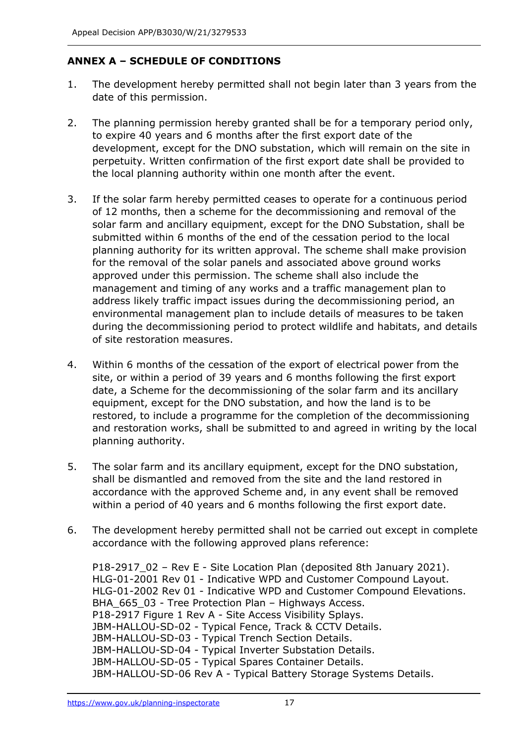# **ANNEX A – SCHEDULE OF CONDITIONS**

- 1. The development hereby permitted shall not begin later than 3 years from the date of this permission.
- 2. The planning permission hereby granted shall be for a temporary period only, to expire 40 years and 6 months after the first export date of the development, except for the DNO substation, which will remain on the site in perpetuity. Written confirmation of the first export date shall be provided to the local planning authority within one month after the event.
- 3. If the solar farm hereby permitted ceases to operate for a continuous period of 12 months, then a scheme for the decommissioning and removal of the solar farm and ancillary equipment, except for the DNO Substation, shall be submitted within 6 months of the end of the cessation period to the local planning authority for its written approval. The scheme shall make provision for the removal of the solar panels and associated above ground works approved under this permission. The scheme shall also include the management and timing of any works and a traffic management plan to address likely traffic impact issues during the decommissioning period, an environmental management plan to include details of measures to be taken during the decommissioning period to protect wildlife and habitats, and details of site restoration measures.
- 4. Within 6 months of the cessation of the export of electrical power from the site, or within a period of 39 years and 6 months following the first export date, a Scheme for the decommissioning of the solar farm and its ancillary equipment, except for the DNO substation, and how the land is to be restored, to include a programme for the completion of the decommissioning and restoration works, shall be submitted to and agreed in writing by the local planning authority.
- 5. The solar farm and its ancillary equipment, except for the DNO substation, shall be dismantled and removed from the site and the land restored in accordance with the approved Scheme and, in any event shall be removed within a period of 40 years and 6 months following the first export date.
- 6. The development hereby permitted shall not be carried out except in complete accordance with the following approved plans reference:

P18-2917\_02 – Rev E - Site Location Plan (deposited 8th January 2021). HLG-01-2001 Rev 01 - Indicative WPD and Customer Compound Layout. HLG-01-2002 Rev 01 - Indicative WPD and Customer Compound Elevations. BHA 665 03 - Tree Protection Plan – Highways Access. P18-2917 Figure 1 Rev A - Site Access Visibility Splays. JBM-HALLOU-SD-02 - Typical Fence, Track & CCTV Details. JBM-HALLOU-SD-03 - Typical Trench Section Details. JBM-HALLOU-SD-04 - Typical Inverter Substation Details. JBM-HALLOU-SD-05 - Typical Spares Container Details. JBM-HALLOU-SD-06 Rev A - Typical Battery Storage Systems Details.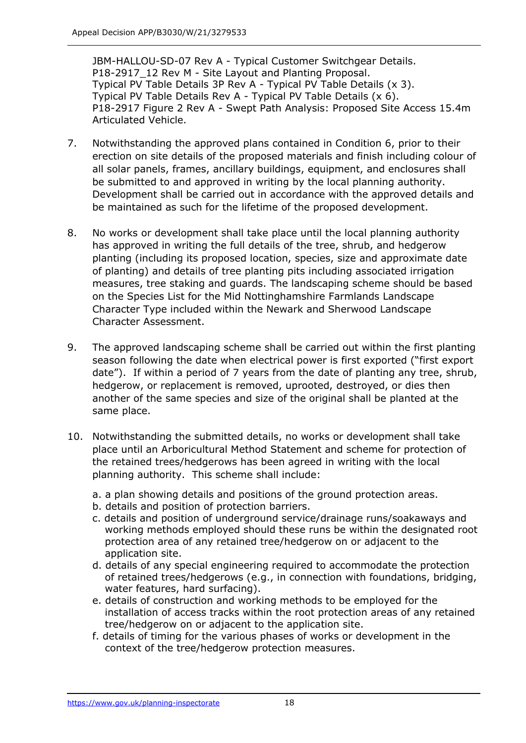JBM-HALLOU-SD-07 Rev A - Typical Customer Switchgear Details. P18-2917 12 Rev M - Site Layout and Planting Proposal. Typical PV Table Details 3P Rev A - Typical PV Table Details (x 3). Typical PV Table Details Rev A - Typical PV Table Details (x 6). P18-2917 Figure 2 Rev A - Swept Path Analysis: Proposed Site Access 15.4m Articulated Vehicle.

- 7. Notwithstanding the approved plans contained in Condition 6, prior to their erection on site details of the proposed materials and finish including colour of all solar panels, frames, ancillary buildings, equipment, and enclosures shall be submitted to and approved in writing by the local planning authority. Development shall be carried out in accordance with the approved details and be maintained as such for the lifetime of the proposed development.
- 8. No works or development shall take place until the local planning authority has approved in writing the full details of the tree, shrub, and hedgerow planting (including its proposed location, species, size and approximate date of planting) and details of tree planting pits including associated irrigation measures, tree staking and guards. The landscaping scheme should be based on the Species List for the Mid Nottinghamshire Farmlands Landscape Character Type included within the Newark and Sherwood Landscape Character Assessment.
- 9. The approved landscaping scheme shall be carried out within the first planting season following the date when electrical power is first exported ("first export date"). If within a period of 7 years from the date of planting any tree, shrub, hedgerow, or replacement is removed, uprooted, destroyed, or dies then another of the same species and size of the original shall be planted at the same place.
- 10. Notwithstanding the submitted details, no works or development shall take place until an Arboricultural Method Statement and scheme for protection of the retained trees/hedgerows has been agreed in writing with the local planning authority. This scheme shall include:
	- a. a plan showing details and positions of the ground protection areas.
	- b. details and position of protection barriers.
	- c. details and position of underground service/drainage runs/soakaways and working methods employed should these runs be within the designated root protection area of any retained tree/hedgerow on or adjacent to the application site.
	- d. details of any special engineering required to accommodate the protection of retained trees/hedgerows (e.g., in connection with foundations, bridging, water features, hard surfacing).
	- e. details of construction and working methods to be employed for the installation of access tracks within the root protection areas of any retained tree/hedgerow on or adjacent to the application site.
	- f. details of timing for the various phases of works or development in the context of the tree/hedgerow protection measures.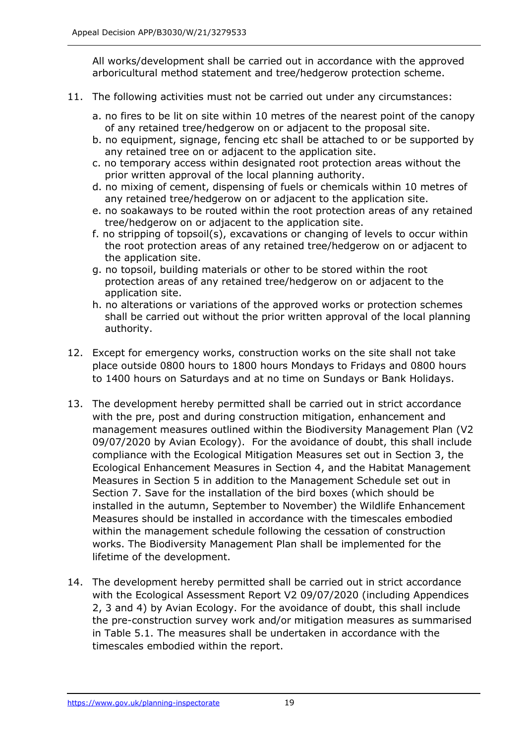All works/development shall be carried out in accordance with the approved arboricultural method statement and tree/hedgerow protection scheme.

- 11. The following activities must not be carried out under any circumstances:
	- a. no fires to be lit on site within 10 metres of the nearest point of the canopy of any retained tree/hedgerow on or adjacent to the proposal site.
	- b. no equipment, signage, fencing etc shall be attached to or be supported by any retained tree on or adjacent to the application site.
	- c. no temporary access within designated root protection areas without the prior written approval of the local planning authority.
	- d. no mixing of cement, dispensing of fuels or chemicals within 10 metres of any retained tree/hedgerow on or adjacent to the application site.
	- e. no soakaways to be routed within the root protection areas of any retained tree/hedgerow on or adjacent to the application site.
	- f. no stripping of topsoil(s), excavations or changing of levels to occur within the root protection areas of any retained tree/hedgerow on or adjacent to the application site.
	- g. no topsoil, building materials or other to be stored within the root protection areas of any retained tree/hedgerow on or adjacent to the application site.
	- h. no alterations or variations of the approved works or protection schemes shall be carried out without the prior written approval of the local planning authority.
- 12. Except for emergency works, construction works on the site shall not take place outside 0800 hours to 1800 hours Mondays to Fridays and 0800 hours to 1400 hours on Saturdays and at no time on Sundays or Bank Holidays.
- 13. The development hereby permitted shall be carried out in strict accordance with the pre, post and during construction mitigation, enhancement and management measures outlined within the Biodiversity Management Plan (V2 09/07/2020 by Avian Ecology). For the avoidance of doubt, this shall include compliance with the Ecological Mitigation Measures set out in Section 3, the Ecological Enhancement Measures in Section 4, and the Habitat Management Measures in Section 5 in addition to the Management Schedule set out in Section 7. Save for the installation of the bird boxes (which should be installed in the autumn, September to November) the Wildlife Enhancement Measures should be installed in accordance with the timescales embodied within the management schedule following the cessation of construction works. The Biodiversity Management Plan shall be implemented for the lifetime of the development.
- 14. The development hereby permitted shall be carried out in strict accordance with the Ecological Assessment Report V2 09/07/2020 (including Appendices 2, 3 and 4) by Avian Ecology. For the avoidance of doubt, this shall include the pre-construction survey work and/or mitigation measures as summarised in Table 5.1. The measures shall be undertaken in accordance with the timescales embodied within the report.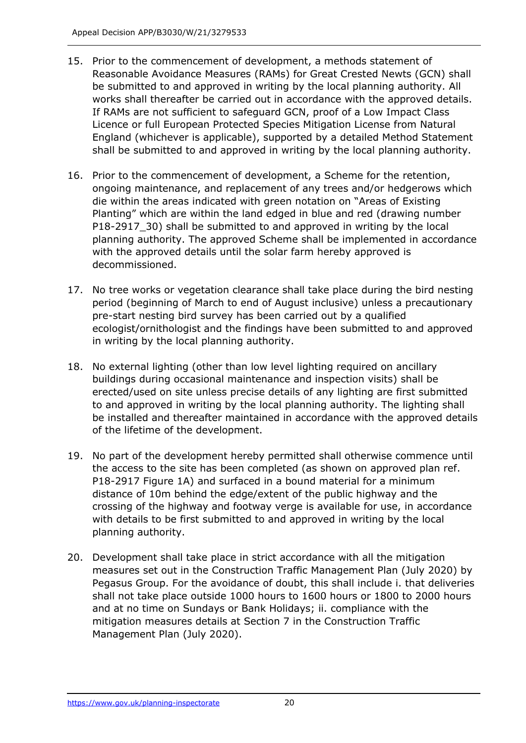- 15. Prior to the commencement of development, a methods statement of Reasonable Avoidance Measures (RAMs) for Great Crested Newts (GCN) shall be submitted to and approved in writing by the local planning authority. All works shall thereafter be carried out in accordance with the approved details. If RAMs are not sufficient to safeguard GCN, proof of a Low Impact Class Licence or full European Protected Species Mitigation License from Natural England (whichever is applicable), supported by a detailed Method Statement shall be submitted to and approved in writing by the local planning authority.
- 16. Prior to the commencement of development, a Scheme for the retention, ongoing maintenance, and replacement of any trees and/or hedgerows which die within the areas indicated with green notation on "Areas of Existing Planting" which are within the land edged in blue and red (drawing number P18-2917\_30) shall be submitted to and approved in writing by the local planning authority. The approved Scheme shall be implemented in accordance with the approved details until the solar farm hereby approved is decommissioned.
- 17. No tree works or vegetation clearance shall take place during the bird nesting period (beginning of March to end of August inclusive) unless a precautionary pre-start nesting bird survey has been carried out by a qualified ecologist/ornithologist and the findings have been submitted to and approved in writing by the local planning authority.
- 18. No external lighting (other than low level lighting required on ancillary buildings during occasional maintenance and inspection visits) shall be erected/used on site unless precise details of any lighting are first submitted to and approved in writing by the local planning authority. The lighting shall be installed and thereafter maintained in accordance with the approved details of the lifetime of the development.
- 19. No part of the development hereby permitted shall otherwise commence until the access to the site has been completed (as shown on approved plan ref. P18-2917 Figure 1A) and surfaced in a bound material for a minimum distance of 10m behind the edge/extent of the public highway and the crossing of the highway and footway verge is available for use, in accordance with details to be first submitted to and approved in writing by the local planning authority.
- 20. Development shall take place in strict accordance with all the mitigation measures set out in the Construction Traffic Management Plan (July 2020) by Pegasus Group. For the avoidance of doubt, this shall include i. that deliveries shall not take place outside 1000 hours to 1600 hours or 1800 to 2000 hours and at no time on Sundays or Bank Holidays; ii. compliance with the mitigation measures details at Section 7 in the Construction Traffic Management Plan (July 2020).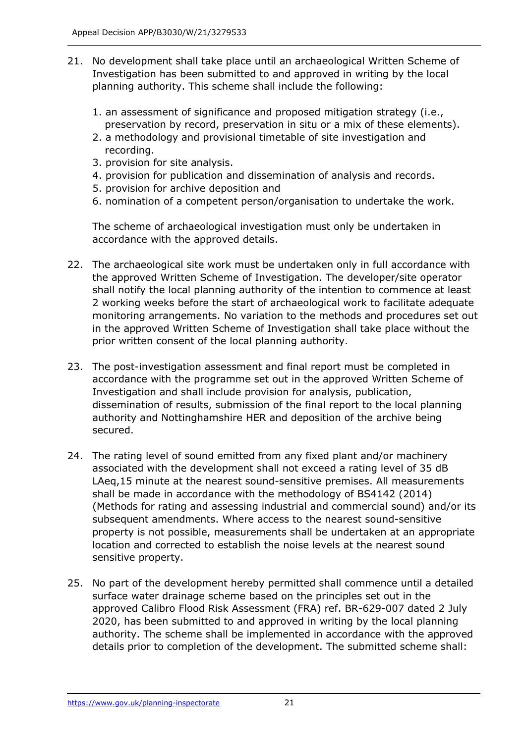- 21. No development shall take place until an archaeological Written Scheme of Investigation has been submitted to and approved in writing by the local planning authority. This scheme shall include the following:
	- 1. an assessment of significance and proposed mitigation strategy (i.e., preservation by record, preservation in situ or a mix of these elements).
	- 2. a methodology and provisional timetable of site investigation and recording.
	- 3. provision for site analysis.
	- 4. provision for publication and dissemination of analysis and records.
	- 5. provision for archive deposition and
	- 6. nomination of a competent person/organisation to undertake the work.

The scheme of archaeological investigation must only be undertaken in accordance with the approved details.

- 22. The archaeological site work must be undertaken only in full accordance with the approved Written Scheme of Investigation. The developer/site operator shall notify the local planning authority of the intention to commence at least 2 working weeks before the start of archaeological work to facilitate adequate monitoring arrangements. No variation to the methods and procedures set out in the approved Written Scheme of Investigation shall take place without the prior written consent of the local planning authority.
- 23. The post-investigation assessment and final report must be completed in accordance with the programme set out in the approved Written Scheme of Investigation and shall include provision for analysis, publication, dissemination of results, submission of the final report to the local planning authority and Nottinghamshire HER and deposition of the archive being secured.
- 24. The rating level of sound emitted from any fixed plant and/or machinery associated with the development shall not exceed a rating level of 35 dB LAeq,15 minute at the nearest sound-sensitive premises. All measurements shall be made in accordance with the methodology of BS4142 (2014) (Methods for rating and assessing industrial and commercial sound) and/or its subsequent amendments. Where access to the nearest sound-sensitive property is not possible, measurements shall be undertaken at an appropriate location and corrected to establish the noise levels at the nearest sound sensitive property.
- 25. No part of the development hereby permitted shall commence until a detailed surface water drainage scheme based on the principles set out in the approved Calibro Flood Risk Assessment (FRA) ref. BR-629-007 dated 2 July 2020, has been submitted to and approved in writing by the local planning authority. The scheme shall be implemented in accordance with the approved details prior to completion of the development. The submitted scheme shall: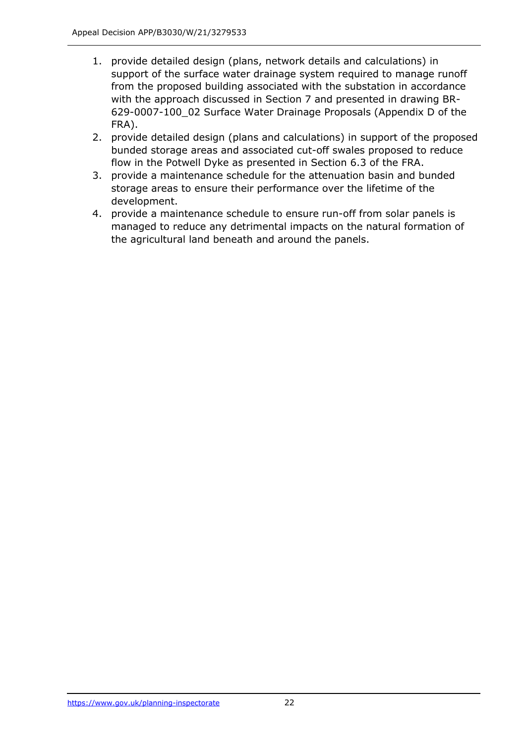- 1. provide detailed design (plans, network details and calculations) in support of the surface water drainage system required to manage runoff from the proposed building associated with the substation in accordance with the approach discussed in Section 7 and presented in drawing BR-629-0007-100\_02 Surface Water Drainage Proposals (Appendix D of the FRA).
- 2. provide detailed design (plans and calculations) in support of the proposed bunded storage areas and associated cut-off swales proposed to reduce flow in the Potwell Dyke as presented in Section 6.3 of the FRA.
- 3. provide a maintenance schedule for the attenuation basin and bunded storage areas to ensure their performance over the lifetime of the development.
- 4. provide a maintenance schedule to ensure run-off from solar panels is managed to reduce any detrimental impacts on the natural formation of the agricultural land beneath and around the panels.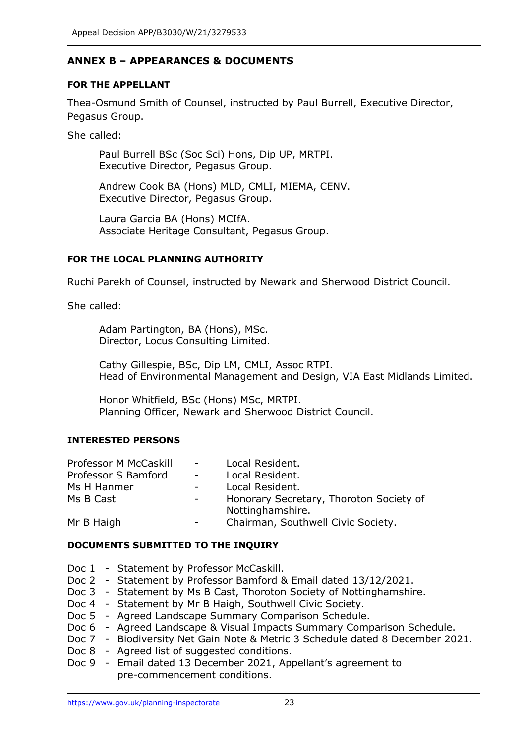# **ANNEX B – APPEARANCES & DOCUMENTS**

#### **FOR THE APPELLANT**

Thea-Osmund Smith of Counsel, instructed by Paul Burrell, Executive Director, Pegasus Group.

She called:

Paul Burrell BSc (Soc Sci) Hons, Dip UP, MRTPI. Executive Director, Pegasus Group.

Andrew Cook BA (Hons) MLD, CMLI, MIEMA, CENV. Executive Director, Pegasus Group.

Laura Garcia BA (Hons) MCIfA. Associate Heritage Consultant, Pegasus Group.

#### **FOR THE LOCAL PLANNING AUTHORITY**

Ruchi Parekh of Counsel, instructed by Newark and Sherwood District Council.

She called:

Adam Partington, BA (Hons), MSc. Director, Locus Consulting Limited.

Cathy Gillespie, BSc, Dip LM, CMLI, Assoc RTPI. Head of Environmental Management and Design, VIA East Midlands Limited.

Honor Whitfield, BSc (Hons) MSc, MRTPI. Planning Officer, Newark and Sherwood District Council.

#### **INTERESTED PERSONS**

| <b>Professor M McCaskill</b> | $\sim 100$               | Local Resident.                                             |
|------------------------------|--------------------------|-------------------------------------------------------------|
| Professor S Bamford          | $\sim$                   | Local Resident.                                             |
| Ms H Hanmer                  |                          | Local Resident.                                             |
| Ms B Cast                    | $\sim 100$               | Honorary Secretary, Thoroton Society of<br>Nottinghamshire. |
| Mr B Haigh                   | $\overline{\phantom{a}}$ | Chairman, Southwell Civic Society.                          |

#### **DOCUMENTS SUBMITTED TO THE INQUIRY**

- Doc 1 Statement by Professor McCaskill.
- Doc 2 Statement by Professor Bamford & Email dated 13/12/2021.
- Doc 3 Statement by Ms B Cast, Thoroton Society of Nottinghamshire.
- Doc 4 Statement by Mr B Haigh, Southwell Civic Society.
- Doc 5 Agreed Landscape Summary Comparison Schedule.
- Doc 6 Agreed Landscape & Visual Impacts Summary Comparison Schedule.
- Doc 7 Biodiversity Net Gain Note & Metric 3 Schedule dated 8 December 2021.
- Doc 8 Agreed list of suggested conditions.
- Doc 9 Email dated 13 December 2021, Appellant's agreement to pre-commencement conditions.